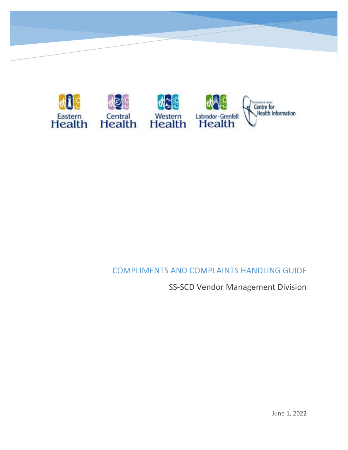

### COMPLIMENTS AND COMPLAINTS HANDLING GUIDE

SS-SCD Vendor Management Division

June 1, 2022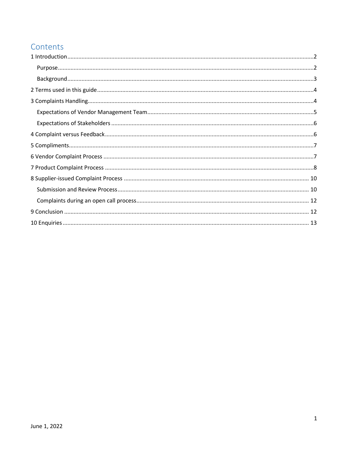# Contents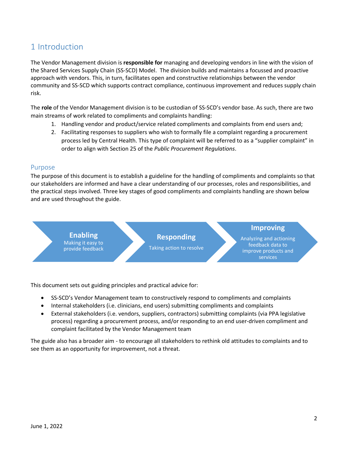## <span id="page-2-0"></span>1 Introduction

The Vendor Management division is **responsible for** managing and developing vendors in line with the vision of the Shared Services Supply Chain (SS-SCD) Model. The division builds and maintains a focussed and proactive approach with vendors. This, in turn, facilitates open and constructive relationships between the vendor community and SS-SCD which supports contract compliance, continuous improvement and reduces supply chain risk.

The **role** of the Vendor Management division is to be custodian of SS-SCD's vendor base. As such, there are two main streams of work related to compliments and complaints handling:

- 1. Handling vendor and product/service related compliments and complaints from end users and;
- 2. Facilitating responses to suppliers who wish to formally file a complaint regarding a procurement process led by Central Health. This type of complaint will be referred to as a "supplier complaint" in order to align with Section 25 of the *Public Procurement Regulations*.

#### <span id="page-2-1"></span>Purpose

The purpose of this document is to establish a guideline for the handling of compliments and complaints so that our stakeholders are informed and have a clear understanding of our processes, roles and responsibilities, and the practical steps involved. Three key stages of good compliments and complaints handling are shown below and are used throughout the guide.



**Responding**

Taking action to resolve

#### **Improving**

Analyzing and actioning feedback data to improve products and services

This document sets out guiding principles and practical advice for:

- SS-SCD's Vendor Management team to constructively respond to compliments and complaints
- Internal stakeholders (i.e. clinicians, end users) submitting compliments and complaints
- External stakeholders (i.e. vendors, suppliers, contractors) submitting complaints (via PPA legislative process) regarding a procurement process, and/or responding to an end user-driven compliment and complaint facilitated by the Vendor Management team

The guide also has a broader aim - to encourage all stakeholders to rethink old attitudes to complaints and to see them as an opportunity for improvement, not a threat.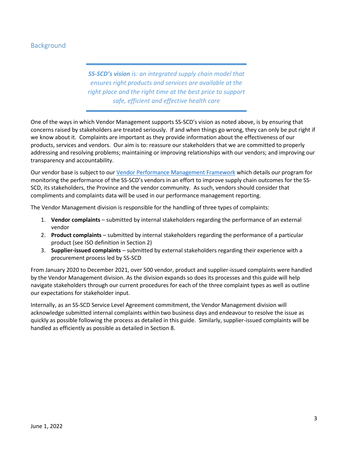#### <span id="page-3-0"></span>Background

*SS-SCD's vision is: an integrated supply chain model that ensures right products and services are available at the right place and the right time at the best price to support safe, efficient and effective health care*

One of the ways in which Vendor Management supports SS-SCD's vision as noted above, is by ensuring that concerns raised by stakeholders are treated seriously. If and when things go wrong, they can only be put right if we know about it. Complaints are important as they provide information about the effectiveness of our products, services and vendors. Our aim is to: reassure our stakeholders that we are committed to properly addressing and resolving problems; maintaining or improving relationships with our vendors; and improving our transparency and accountability.

Our vendor base is subject to our [Vendor Performance Management Framework](https://www.centralhealth.nl.ca/tenders) which details our program for monitoring the performance of the SS-SCD's vendors in an effort to improve supply chain outcomes for the SS-SCD, its stakeholders, the Province and the vendor community. As such, vendors should consider that compliments and complaints data will be used in our performance management reporting.

The Vendor Management division is responsible for the handling of three types of complaints:

- 1. **Vendor complaints** submitted by internal stakeholders regarding the performance of an external vendor
- 2. **Product complaints** submitted by internal stakeholders regarding the performance of a particular product (see ISO definition in Section 2)
- 3. **Supplier-issued complaints** submitted by external stakeholders regarding their experience with a procurement process led by SS-SCD

From January 2020 to December 2021, over 500 vendor, product and supplier-issued complaints were handled by the Vendor Management division. As the division expands so does its processes and this guide will help navigate stakeholders through our current procedures for each of the three complaint types as well as outline our expectations for stakeholder input.

Internally, as an SS-SCD Service Level Agreement commitment, the Vendor Management division will acknowledge submitted internal complaints within two business days and endeavour to resolve the issue as quickly as possible following the process as detailed in this guide. Similarly, supplier-issued complaints will be handled as efficiently as possible as detailed in Section 8.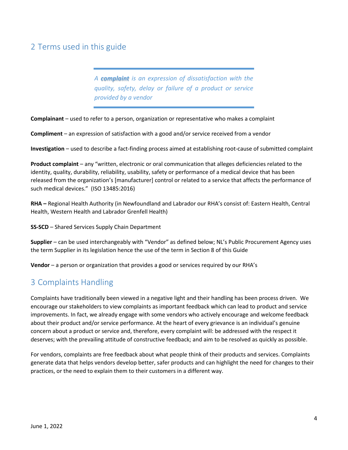## <span id="page-4-0"></span>2 Terms used in this guide

*A complaint is an expression of dissatisfaction with the quality, safety, delay or failure of a product or service provided by a vendor*

**Complainant** – used to refer to a person, organization or representative who makes a complaint

**Compliment** – an expression of satisfaction with a good and/or service received from a vendor

**Investigation** – used to describe a fact-finding process aimed at establishing root-cause of submitted complaint

**Product complaint** – any "written, electronic or oral communication that alleges deficiencies related to the identity, quality, durability, reliability, usability, safety or performance of a medical device that has been released from the organization's [manufacturer] control or related to a service that affects the performance of such medical devices." (ISO 13485:2016)

**RHA –** Regional Health Authority (in Newfoundland and Labrador our RHA's consist of: Eastern Health, Central Health, Western Health and Labrador Grenfell Health)

**SS-SCD** – Shared Services Supply Chain Department

**Supplier** – can be used interchangeably with "Vendor" as defined below; NL's Public Procurement Agency uses the term Supplier in its legislation hence the use of the term in Section 8 of this Guide

**Vendor** – a person or organization that provides a good or services required by our RHA's

### <span id="page-4-1"></span>3 Complaints Handling

Complaints have traditionally been viewed in a negative light and their handling has been process driven. We encourage our stakeholders to view complaints as important feedback which can lead to product and service improvements. In fact, we already engage with some vendors who actively encourage and welcome feedback about their product and/or service performance. At the heart of every grievance is an individual's genuine concern about a product or service and, therefore, every complaint will: be addressed with the respect it deserves; with the prevailing attitude of constructive feedback; and aim to be resolved as quickly as possible.

For vendors, complaints are free feedback about what people think of their products and services. Complaints generate data that helps vendors develop better, safer products and can highlight the need for changes to their practices, or the need to explain them to their customers in a different way.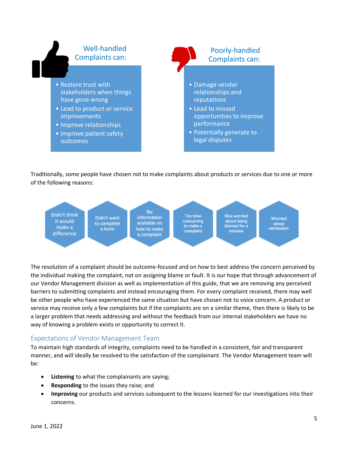

Traditionally, some people have chosen not to make complaints about products or services due to one or more of the following reasons:



The resolution of a complaint should be outcome-focused and on how to best address the concern perceived by the individual making the complaint, not on assigning blame or fault. It is our hope that through advancement of our Vendor Management division as well as implementation of this guide, that we are removing any perceived barriers to submitting complaints and instead encouraging them. For every complaint received, there may well be other people who have experienced the same situation but have chosen not to voice concern. A product or service may receive only a few complaints but if the complaints are on a similar theme, then there is likely to be a larger problem that needs addressing and without the feedback from our internal stakeholders we have no way of knowing a problem exists or opportunity to correct it.

#### <span id="page-5-0"></span>Expectations of Vendor Management Team

To maintain high standards of integrity, complaints need to be handled in a consistent, fair and transparent manner, and will ideally be resolved to the satisfaction of the complainant. The Vendor Management team will be:

- **Listening** to what the complainants are saying;
- **Responding** to the issues they raise; and
- **Improving** our products and services subsequent to the lessons learned for our investigations into their concerns.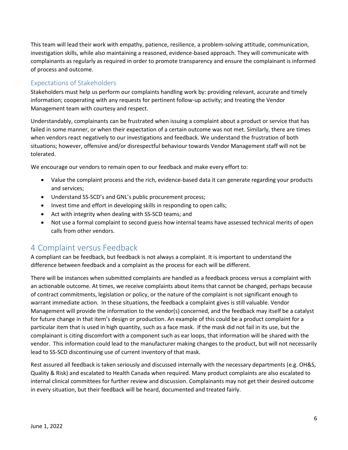This team will lead their work with empathy, patience, resilience, a problem-solving attitude, communication, investigation skills, while also maintaining a reasoned, evidence-based approach. They will communicate with complainants as regularly as required in order to promote transparency and ensure the complainant is informed of process and outcome.

#### <span id="page-6-0"></span>Expectations of Stakeholders

Stakeholders must help us perform our complaints handling work by: providing relevant, accurate and timely information; cooperating with any requests for pertinent follow-up activity; and treating the Vendor Management team with courtesy and respect.

Understandably, complainants can be frustrated when issuing a complaint about a product or service that has failed in some manner, or when their expectation of a certain outcome was not met. Similarly, there are times when vendors react negatively to our investigations and feedback. We understand the frustration of both situations; however, offensive and/or disrespectful behaviour towards Vendor Management staff will not be tolerated.

We encourage our vendors to remain open to our feedback and make every effort to:

- Value the complaint process and the rich, evidence-based data it can generate regarding your products and services;
- Understand SS-SCD's and GNL's public procurement process;
- Invest time and effort in developing skills in responding to open calls;
- Act with integrity when dealing with SS-SCD teams; and
- Not use a formal complaint to second guess how internal teams have assessed technical merits of open calls from other vendors.

### <span id="page-6-1"></span>4 Complaint versus Feedback

A compliant can be feedback, but feedback is not always a complaint. It is important to understand the difference between feedback and a complaint as the process for each will be different.

There will be instances when submitted complaints are handled as a feedback process versus a complaint with an actionable outcome. At times, we receive complaints about items that cannot be changed, perhaps because of contract commitments, legislation or policy, or the nature of the complaint is not significant enough to warrant immediate action. In these situations, the feedback a complaint gives is still valuable. Vendor Management will provide the information to the vendor(s) concerned, and the feedback may itself be a catalyst for future change in that item's design or production. An example of this could be a product complaint for a particular item that is used in high quantity, such as a face mask. If the mask did not fail in its use, but the complainant is citing discomfort with a component such as ear loops, that information will be shared with the vendor. This information could lead to the manufacturer making changes to the product, but will not necessarily lead to SS-SCD discontinuing use of current inventory of that mask.

Rest assured all feedback is taken seriously and discussed internally with the necessary departments (e.g. OH&S, Quality & Risk) and escalated to Health Canada when required. Many product complaints are also escalated to internal clinical committees for further review and discussion. Complainants may not get their desired outcome in every situation, but their feedback will be heard, documented and treated fairly.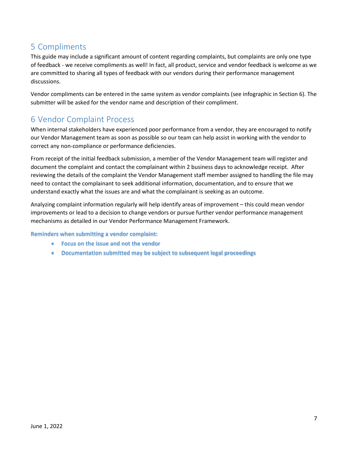# <span id="page-7-0"></span>5 Compliments

This guide may include a significant amount of content regarding complaints, but complaints are only one type of feedback - we receive compliments as well! In fact, all product, service and vendor feedback is welcome as we are committed to sharing all types of feedback with our vendors during their performance management discussions.

Vendor compliments can be entered in the same system as vendor complaints (see infographic in Section 6). The submitter will be asked for the vendor name and description of their compliment.

## <span id="page-7-1"></span>6 Vendor Complaint Process

When internal stakeholders have experienced poor performance from a vendor, they are encouraged to notify our Vendor Management team as soon as possible so our team can help assist in working with the vendor to correct any non-compliance or performance deficiencies.

From receipt of the initial feedback submission, a member of the Vendor Management team will register and document the complaint and contact the complainant within 2 business days to acknowledge receipt. After reviewing the details of the complaint the Vendor Management staff member assigned to handling the file may need to contact the complainant to seek additional information, documentation, and to ensure that we understand exactly what the issues are and what the complainant is seeking as an outcome.

Analyzing complaint information regularly will help identify areas of improvement – this could mean vendor improvements or lead to a decision to change vendors or pursue further vendor performance management mechanisms as detailed in our Vendor Performance Management Framework.

**Reminders when submitting a vendor complaint:**

- **Focus on the issue and not the vendor**
- **Documentation submitted may be subject to subsequent legal proceedings**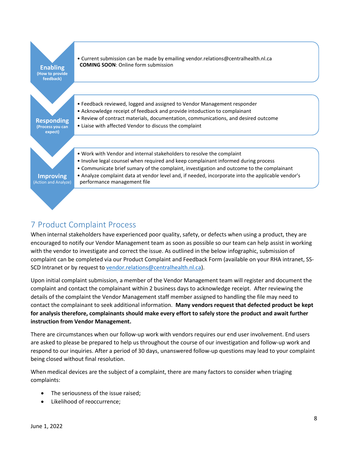

## <span id="page-8-0"></span>7 Product Complaint Process

When internal stakeholders have experienced poor quality, safety, or defects when using a product, they are encouraged to notify our Vendor Management team as soon as possible so our team can help assist in working with the vendor to investigate and correct the issue. As outlined in the below infographic, submission of complaint can be completed via our Product Complaint and Feedback Form (available on your RHA intranet, SSSCD Intranet or by request to [vendor.relations@centralhealth.nl.ca\)](mailto:vendor.relations@centralhealth.nl.ca).

Upon initial complaint submission, a member of the Vendor Management team will register and document the complaint and contact the complainant within 2 business days to acknowledge receipt. After reviewing the details of the complaint the Vendor Management staff member assigned to handling the file may need to contact the complainant to seek additional information. **Many vendors request that defected product be kept for analysis therefore, complainants should make every effort to safely store the product and await further instruction from Vendor Management.**

There are circumstances when our follow-up work with vendors requires our end user involvement. End users are asked to please be prepared to help us throughout the course of our investigation and follow-up work and respond to our inquiries. After a period of 30 days, unanswered follow-up questions may lead to your complaint being closed without final resolution.

When medical devices are the subject of a complaint, there are many factors to consider when triaging complaints:

- The seriousness of the issue raised;
- Likelihood of reoccurrence;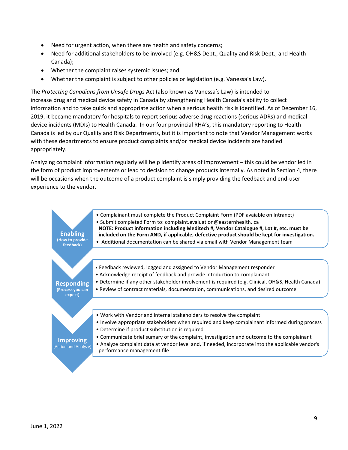- Need for urgent action, when there are health and safety concerns;
- Need for additional stakeholders to be involved (e.g. OH&S Dept., Quality and Risk Dept., and Health Canada);
- Whether the complaint raises systemic issues; and
- Whether the complaint is subject to other policies or legislation (e.g. Vanessa's Law).

The *Protecting Canadians from Unsafe Drugs* Act (also known as Vanessa's Law) is intended to increase drug and medical device safety in Canada by strengthening Health Canada's ability to collect information and to take quick and appropriate action when a serious health risk is identified. As of December 16, 2019, it became mandatory for hospitals to report serious adverse drug reactions (serious ADRs) and medical device incidents (MDIs) to Health Canada. In our four provincial RHA's, this mandatory reporting to Health Canada is led by our Quality and Risk Departments, but it is important to note that Vendor Management works with these departments to ensure product complaints and/or medical device incidents are handled appropriately.

Analyzing complaint information regularly will help identify areas of improvement – this could be vendor led in the form of product improvements or lead to decision to change products internally. As noted in Section 4, there will be occasions when the outcome of a product complaint is simply providing the feedback and end-user experience to the vendor.

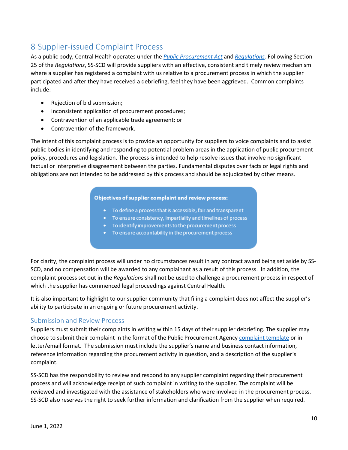# <span id="page-10-0"></span>8 Supplier-issued Complaint Process

As a public body, Central Health operates under the *[Public Procurement Act](https://assembly.nl.ca/Legislation/sr/statutes/p41-001.htm)* and *[Regulations.](https://assembly.nl.ca/Legislation/sr/Regulations/rc180013.htm)* Following Section 25 of the *Regulations*, SS-SCD will provide suppliers with an effective, consistent and timely review mechanism where a supplier has registered a complaint with us relative to a procurement process in which the supplier participated and after they have received a debriefing, feel they have been aggrieved. Common complaints include:

- Rejection of bid submission;
- Inconsistent application of procurement procedures;
- Contravention of an applicable trade agreement; or
- Contravention of the framework.

The intent of this complaint process is to provide an opportunity for suppliers to voice complaints and to assist public bodies in identifying and responding to potential problem areas in the application of public procurement policy, procedures and legislation. The process is intended to help resolve issues that involve no significant factual or interpretive disagreement between the parties. Fundamental disputes over facts or legal rights and obligations are not intended to be addressed by this process and should be adjudicated by other means.

#### Objectives of supplier complaint and review process:

- To define a process that is accessible, fair and transparent
- To ensure consistency, impartiality and timelines of process
- To identify improvements to the procurement process
- To ensure accountability in the procurement process

For clarity, the complaint process will under no circumstances result in any contract award being set aside by SS-SCD, and no compensation will be awarded to any complainant as a result of this process. In addition, the complaint process set out in the *Regulations* shall not be used to challenge a procurement process in respect of which the supplier has commenced legal proceedings against Central Health.

It is also important to highlight to our supplier community that filing a complaint does not affect the supplier's ability to participate in an ongoing or future procurement activity.

#### <span id="page-10-1"></span>Submission and Review Process

Suppliers must submit their complaints in writing within 15 days of their supplier debriefing. The supplier may choose to submit their complaint in the format of the Public Procurement Agency [complaint template](https://www.gov.nl.ca/ppa/files/Supplier-Complaint-Review-Process-Fillable.pdf) or in letter/email format. The submission must include the supplier's name and business contact information, reference information regarding the procurement activity in question, and a description of the supplier's complaint.

SS-SCD has the responsibility to review and respond to any supplier complaint regarding their procurement process and will acknowledge receipt of such complaint in writing to the supplier. The complaint will be reviewed and investigated with the assistance of stakeholders who were involved in the procurement process. SS-SCD also reserves the right to seek further information and clarification from the supplier when required.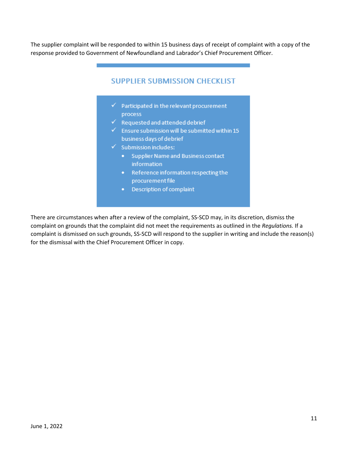The supplier complaint will be responded to within 15 business days of receipt of complaint with a copy of the response provided to Government of Newfoundland and Labrador's Chief Procurement Officer.

#### **SUPPLIER SUBMISSION CHECKLIST**

- $\checkmark$  Participated in the relevant procurement process
- $\checkmark$  Requested and attended debrief
- $\checkmark$  Ensure submission will be submitted within 15 business days of debrief
- $\checkmark$  Submission includes:
	- Supplier Name and Business contact information
	- Reference information respecting the procurement file
	- Description of complaint

There are circumstances when after a review of the complaint, SS-SCD may, in its discretion, dismiss the complaint on grounds that the complaint did not meet the requirements as outlined in the *Regulations.* If a complaint is dismissed on such grounds, SS-SCD will respond to the supplier in writing and include the reason(s) for the dismissal with the Chief Procurement Officer in copy.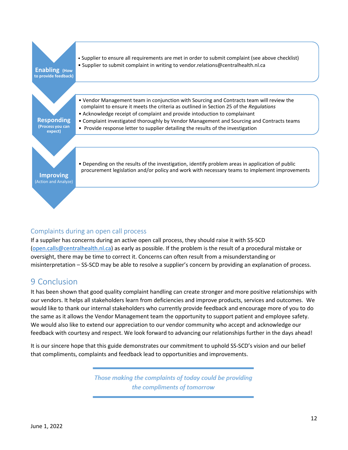

#### <span id="page-12-0"></span>Complaints during an open call process

If a supplier has concerns during an active open call process, they should raise it with SS-SCD [\(open.calls@centralhealth.nl.ca\)](mailto:open.calls@centralhealth.nl.ca) as early as possible. If the problem is the result of a procedural mistake or oversight, there may be time to correct it. Concerns can often result from a misunderstanding or misinterpretation – SS-SCD may be able to resolve a supplier's concern by providing an explanation of process.

## <span id="page-12-1"></span>9 Conclusion

It has been shown that good quality complaint handling can create stronger and more positive relationships with our vendors. It helps all stakeholders learn from deficiencies and improve products, services and outcomes. We would like to thank our internal stakeholders who currently provide feedback and encourage more of you to do the same as it allows the Vendor Management team the opportunity to support patient and employee safety. We would also like to extend our appreciation to our vendor community who accept and acknowledge our feedback with courtesy and respect. We look forward to advancing our relationships further in the days ahead!

It is our sincere hope that this guide demonstrates our commitment to uphold SS-SCD's vision and our belief that compliments, complaints and feedback lead to opportunities and improvements.

> Those making the complaints of today could be providing the compliments of tomorrow